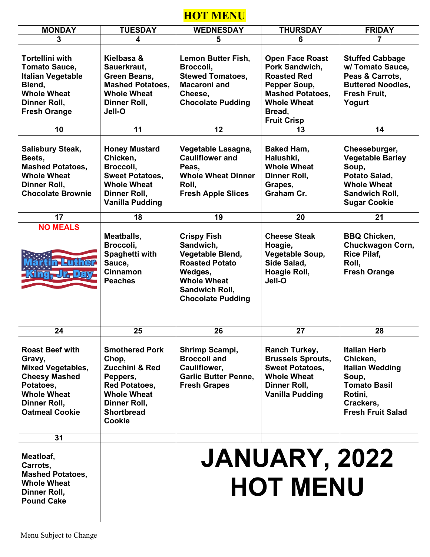## **HOT MENU**

| <b>MONDAY</b>                                                                                                                                                                                                                                                 | <b>TUESDAY</b>                                                                                                                                                                                                              | <b>WEDNESDAY</b>                                                                                                                                                                                                                     | <b>THURSDAY</b>                                                                                                                                                                                                                                          | <b>FRIDAY</b>                                                                                                                                                                                                        |  |
|---------------------------------------------------------------------------------------------------------------------------------------------------------------------------------------------------------------------------------------------------------------|-----------------------------------------------------------------------------------------------------------------------------------------------------------------------------------------------------------------------------|--------------------------------------------------------------------------------------------------------------------------------------------------------------------------------------------------------------------------------------|----------------------------------------------------------------------------------------------------------------------------------------------------------------------------------------------------------------------------------------------------------|----------------------------------------------------------------------------------------------------------------------------------------------------------------------------------------------------------------------|--|
| 3                                                                                                                                                                                                                                                             | 4                                                                                                                                                                                                                           | 5                                                                                                                                                                                                                                    | 6                                                                                                                                                                                                                                                        | 7                                                                                                                                                                                                                    |  |
| <b>Tortellini with</b><br><b>Tomato Sauce,</b><br><b>Italian Vegetable</b><br>Blend,<br><b>Whole Wheat</b><br>Dinner Roll,<br><b>Fresh Orange</b><br>10<br><b>Salisbury Steak,</b><br>Beets,<br><b>Mashed Potatoes,</b><br><b>Whole Wheat</b><br>Dinner Roll, | Kielbasa &<br>Sauerkraut,<br>Green Beans,<br><b>Mashed Potatoes,</b><br><b>Whole Wheat</b><br>Dinner Roll,<br>Jell-O<br>11<br><b>Honey Mustard</b><br>Chicken,<br>Broccoli,<br><b>Sweet Potatoes,</b><br><b>Whole Wheat</b> | <b>Lemon Butter Fish,</b><br>Broccoli,<br><b>Stewed Tomatoes,</b><br><b>Macaroni and</b><br>Cheese,<br><b>Chocolate Pudding</b><br>12<br>Vegetable Lasagna,<br><b>Cauliflower and</b><br>Peas,<br><b>Whole Wheat Dinner</b><br>Roll, | <b>Open Face Roast</b><br>Pork Sandwich,<br><b>Roasted Red</b><br>Pepper Soup,<br><b>Mashed Potatoes,</b><br><b>Whole Wheat</b><br>Bread,<br><b>Fruit Crisp</b><br>13<br><b>Baked Ham,</b><br>Halushki,<br><b>Whole Wheat</b><br>Dinner Roll,<br>Grapes, | <b>Stuffed Cabbage</b><br>w/Tomato Sauce,<br>Peas & Carrots,<br><b>Buttered Noodles,</b><br>Fresh Fruit,<br>Yogurt<br>14<br>Cheeseburger,<br><b>Vegetable Barley</b><br>Soup,<br>Potato Salad,<br><b>Whole Wheat</b> |  |
| <b>Chocolate Brownie</b>                                                                                                                                                                                                                                      | Dinner Roll,<br><b>Vanilla Pudding</b>                                                                                                                                                                                      | <b>Fresh Apple Slices</b>                                                                                                                                                                                                            | Graham Cr.                                                                                                                                                                                                                                               | <b>Sandwich Roll,</b><br><b>Sugar Cookie</b>                                                                                                                                                                         |  |
|                                                                                                                                                                                                                                                               |                                                                                                                                                                                                                             |                                                                                                                                                                                                                                      |                                                                                                                                                                                                                                                          |                                                                                                                                                                                                                      |  |
| 17                                                                                                                                                                                                                                                            | 18                                                                                                                                                                                                                          | 19                                                                                                                                                                                                                                   | 20                                                                                                                                                                                                                                                       | 21                                                                                                                                                                                                                   |  |
| <b>NO MEALS</b><br><b>JIHDa</b>                                                                                                                                                                                                                               | Meatballs,<br>Broccoli,<br>Spaghetti with<br>Sauce,<br>Cinnamon<br><b>Peaches</b>                                                                                                                                           | <b>Crispy Fish</b><br>Sandwich,<br>Vegetable Blend,<br><b>Roasted Potato</b><br>Wedges,<br><b>Whole Wheat</b><br>Sandwich Roll,<br><b>Chocolate Pudding</b>                                                                          | <b>Cheese Steak</b><br>Hoagie,<br>Vegetable Soup,<br>Side Salad,<br>Hoagie Roll,<br>Jell-O                                                                                                                                                               | <b>BBQ Chicken,</b><br><b>Chuckwagon Corn,</b><br><b>Rice Pilaf,</b><br>Roll,<br><b>Fresh Orange</b>                                                                                                                 |  |
| 24                                                                                                                                                                                                                                                            | 25                                                                                                                                                                                                                          | 26                                                                                                                                                                                                                                   | 27                                                                                                                                                                                                                                                       | 28                                                                                                                                                                                                                   |  |
| <b>Roast Beef with</b><br>Gravy,<br><b>Mixed Vegetables,</b><br><b>Cheesy Mashed</b><br>Potatoes,<br><b>Whole Wheat</b><br>Dinner Roll,<br><b>Oatmeal Cookie</b>                                                                                              | <b>Smothered Pork</b><br>Chop,<br>Zucchini & Red<br>Peppers,<br><b>Red Potatoes,</b><br><b>Whole Wheat</b><br>Dinner Roll,<br><b>Shortbread</b><br><b>Cookie</b>                                                            | Shrimp Scampi,<br><b>Broccoli and</b><br>Cauliflower,<br><b>Garlic Butter Penne,</b><br><b>Fresh Grapes</b>                                                                                                                          | <b>Ranch Turkey,</b><br><b>Brussels Sprouts,</b><br><b>Sweet Potatoes.</b><br><b>Whole Wheat</b><br>Dinner Roll,<br><b>Vanilla Pudding</b>                                                                                                               | <b>Italian Herb</b><br>Chicken,<br><b>Italian Wedding</b><br>Soup.<br><b>Tomato Basil</b><br>Rotini,<br>Crackers,<br><b>Fresh Fruit Salad</b>                                                                        |  |
| 31                                                                                                                                                                                                                                                            |                                                                                                                                                                                                                             |                                                                                                                                                                                                                                      |                                                                                                                                                                                                                                                          |                                                                                                                                                                                                                      |  |
| Meatloaf,<br>Carrots,<br><b>Mashed Potatoes,</b><br><b>Whole Wheat</b><br>Dinner Roll,<br><b>Pound Cake</b>                                                                                                                                                   |                                                                                                                                                                                                                             | <b>JANUARY, 2022</b><br><b>HOT MENU</b>                                                                                                                                                                                              |                                                                                                                                                                                                                                                          |                                                                                                                                                                                                                      |  |